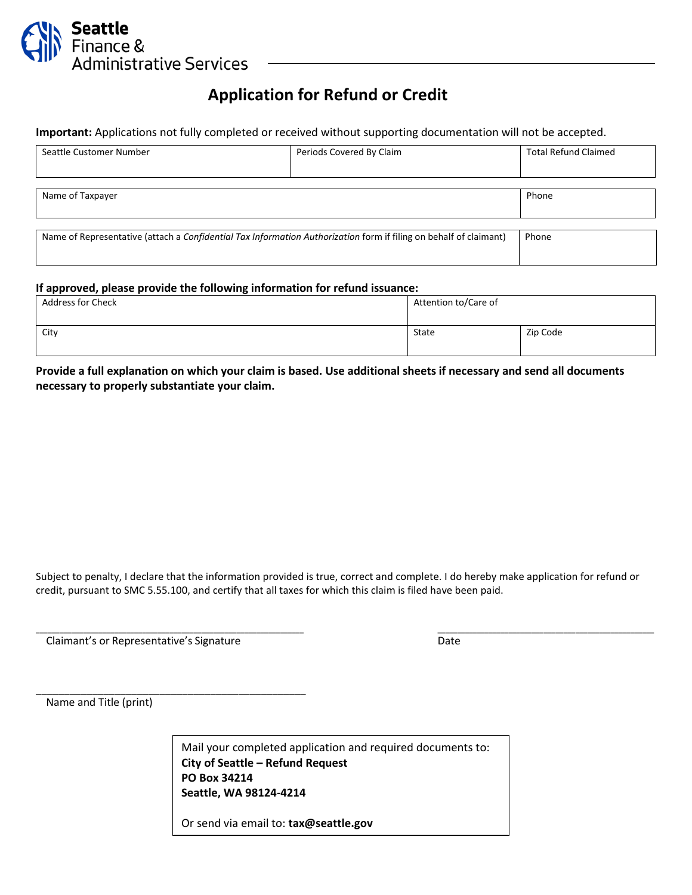

## **Application for Refund or Credit**

**Important:** Applications not fully completed or received without supporting documentation will not be accepted.

| Seattle Customer Number                                                                                           | Periods Covered By Claim | <b>Total Refund Claimed</b> |
|-------------------------------------------------------------------------------------------------------------------|--------------------------|-----------------------------|
|                                                                                                                   |                          |                             |
|                                                                                                                   |                          |                             |
| Name of Taxpayer                                                                                                  |                          | Phone                       |
|                                                                                                                   |                          |                             |
|                                                                                                                   |                          |                             |
| Name of Representative (attach a Confidential Tax Information Authorization form if filing on behalf of claimant) |                          | Phone                       |
|                                                                                                                   |                          |                             |
|                                                                                                                   |                          |                             |

#### **If approved, please provide the following information for refund issuance:**

| . .<br><b>Address for Check</b> | Attention to/Care of |          |
|---------------------------------|----------------------|----------|
| City                            | State                | Zip Code |

**Provide a full explanation on which your claim is based. Use additional sheets if necessary and send all documents necessary to properly substantiate your claim.**

Subject to penalty, I declare that the information provided is true, correct and complete. I do hereby make application for refund or credit, pursuant to SMC 5.55.100, and certify that all taxes for which this claim is filed have been paid.

\_\_\_\_\_\_\_\_\_\_\_\_\_\_\_\_\_\_\_\_\_\_\_\_\_\_\_\_\_\_\_\_\_\_\_\_\_\_\_\_\_\_\_\_\_\_\_\_\_\_\_\_\_\_\_\_\_\_\_\_\_\_\_\_\_\_\_\_ \_\_\_\_\_\_\_\_\_\_\_\_\_\_\_\_\_\_\_\_\_\_\_\_\_\_\_\_\_\_\_\_\_\_\_\_\_\_\_\_\_\_\_\_\_\_\_\_\_\_\_\_\_\_\_

Claimant's or Representative's Signature data and the Date Date

\_\_\_\_\_\_\_\_\_\_\_\_\_\_\_\_\_\_\_\_\_\_\_\_\_\_\_\_\_\_\_\_\_\_\_\_\_\_\_\_\_\_\_\_\_\_\_\_

Name and Title (print)

Mail your completed application and required documents to: **City of Seattle – Refund Request PO Box 34214 Seattle, WA 98124-4214**

Or send via email to: **tax@seattle.gov**